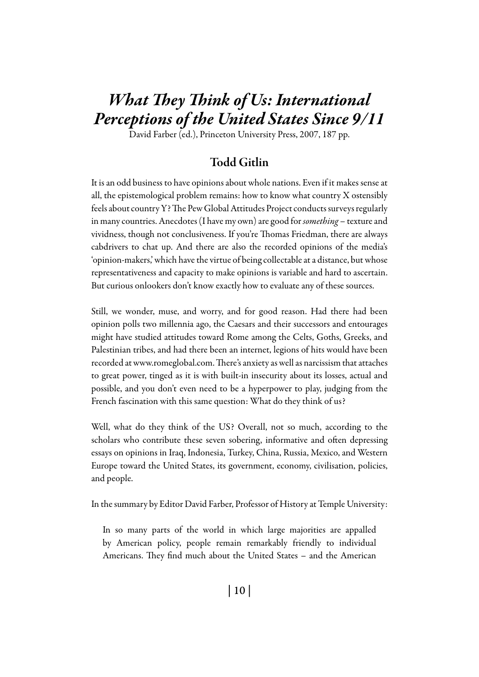# *What They Think of Us: International Perceptions of the United States Since 9/11*

David Farber (ed.), Princeton University Press, 2007, 187 pp.

# Todd Gitlin

It is an odd business to have opinions about whole nations. Even if it makes sense at all, the epistemological problem remains: how to know what country X ostensibly feels about country Y? The Pew Global Attitudes Project conducts surveys regularly in many countries. Anecdotes (I have my own) are good for *something* – texture and vividness, though not conclusiveness. If you're Thomas Friedman, there are always cabdrivers to chat up. And there are also the recorded opinions of the media's 'opinion-makers,' which have the virtue of being collectable at a distance, but whose representativeness and capacity to make opinions is variable and hard to ascertain. But curious onlookers don't know exactly how to evaluate any of these sources.

Still, we wonder, muse, and worry, and for good reason. Had there had been opinion polls two millennia ago, the Caesars and their successors and entourages might have studied attitudes toward Rome among the Celts, Goths, Greeks, and Palestinian tribes, and had there been an internet, legions of hits would have been recorded at www.romeglobal.com. There's anxiety as well as narcissism that attaches to great power, tinged as it is with built-in insecurity about its losses, actual and possible, and you don't even need to be a hyperpower to play, judging from the French fascination with this same question: What do they think of us?

Well, what do they think of the US? Overall, not so much, according to the scholars who contribute these seven sobering, informative and often depressing essays on opinions in Iraq, Indonesia, Turkey, China, Russia, Mexico, and Western Europe toward the United States, its government, economy, civilisation, policies, and people.

In the summary by Editor David Farber, Professor of History at Temple University:

In so many parts of the world in which large majorities are appalled by American policy, people remain remarkably friendly to individual Americans. They find much about the United States – and the American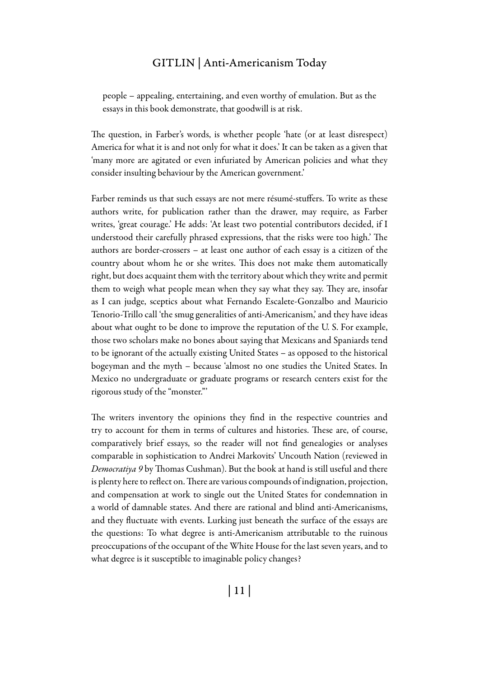# GITLIN | Anti-Americanism Today

people – appealing, entertaining, and even worthy of emulation. But as the essays in this book demonstrate, that goodwill is at risk.

The question, in Farber's words, is whether people 'hate (or at least disrespect) America for what it is and not only for what it does.' It can be taken as a given that 'many more are agitated or even infuriated by American policies and what they consider insulting behaviour by the American government.'

Farber reminds us that such essays are not mere résumé-stuffers. To write as these authors write, for publication rather than the drawer, may require, as Farber writes, 'great courage.' He adds: 'At least two potential contributors decided, if I understood their carefully phrased expressions, that the risks were too high.' The authors are border-crossers – at least one author of each essay is a citizen of the country about whom he or she writes. This does not make them automatically right, but does acquaint them with the territory about which they write and permit them to weigh what people mean when they say what they say. They are, insofar as I can judge, sceptics about what Fernando Escalete-Gonzalbo and Mauricio Tenorio-Trillo call 'the smug generalities of anti-Americanism,' and they have ideas about what ought to be done to improve the reputation of the U. S. For example, those two scholars make no bones about saying that Mexicans and Spaniards tend to be ignorant of the actually existing United States – as opposed to the historical bogeyman and the myth – because 'almost no one studies the United States. In Mexico no undergraduate or graduate programs or research centers exist for the rigorous study of the "monster."'

The writers inventory the opinions they find in the respective countries and try to account for them in terms of cultures and histories. These are, of course, comparatively brief essays, so the reader will not find genealogies or analyses comparable in sophistication to Andrei Markovits' Uncouth Nation (reviewed in *Democratiya 9* by Thomas Cushman). But the book at hand is still useful and there is plenty here to reflect on. There are various compounds of indignation, projection, and compensation at work to single out the United States for condemnation in a world of damnable states. And there are rational and blind anti-Americanisms, and they fluctuate with events. Lurking just beneath the surface of the essays are the questions: To what degree is anti-Americanism attributable to the ruinous preoccupations of the occupant of the White House for the last seven years, and to what degree is it susceptible to imaginable policy changes?

| 11 |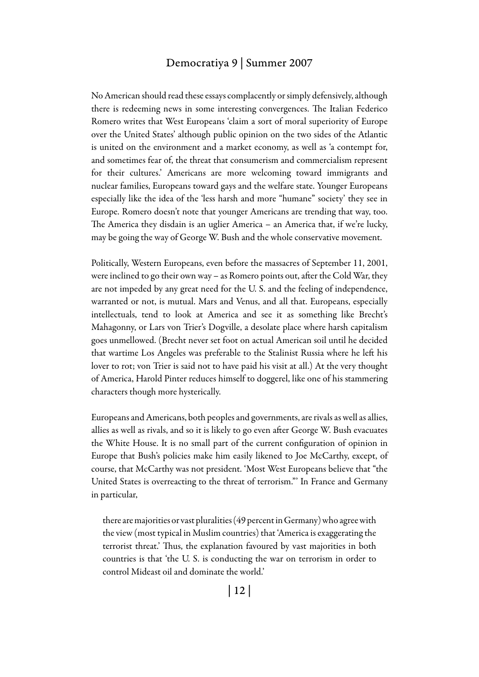## Democratiya 9 | Summer 2007

No American should read these essays complacently or simply defensively, although there is redeeming news in some interesting convergences. The Italian Federico Romero writes that West Europeans 'claim a sort of moral superiority of Europe over the United States' although public opinion on the two sides of the Atlantic is united on the environment and a market economy, as well as 'a contempt for, and sometimes fear of, the threat that consumerism and commercialism represent for their cultures.' Americans are more welcoming toward immigrants and nuclear families, Europeans toward gays and the welfare state. Younger Europeans especially like the idea of the 'less harsh and more "humane" society' they see in Europe. Romero doesn't note that younger Americans are trending that way, too. The America they disdain is an uglier America – an America that, if we're lucky, may be going the way of George W. Bush and the whole conservative movement.

Politically, Western Europeans, even before the massacres of September 11, 2001, were inclined to go their own way – as Romero points out, after the Cold War, they are not impeded by any great need for the U. S. and the feeling of independence, warranted or not, is mutual. Mars and Venus, and all that. Europeans, especially intellectuals, tend to look at America and see it as something like Brecht's Mahagonny, or Lars von Trier's Dogville, a desolate place where harsh capitalism goes unmellowed. (Brecht never set foot on actual American soil until he decided that wartime Los Angeles was preferable to the Stalinist Russia where he left his lover to rot; von Trier is said not to have paid his visit at all.) At the very thought of America, Harold Pinter reduces himself to doggerel, like one of his stammering characters though more hysterically.

Europeans and Americans, both peoples and governments, are rivals as well as allies, allies as well as rivals, and so it is likely to go even after George W. Bush evacuates the White House. It is no small part of the current configuration of opinion in Europe that Bush's policies make him easily likened to Joe McCarthy, except, of course, that McCarthy was not president. 'Most West Europeans believe that "the United States is overreacting to the threat of terrorism."' In France and Germany in particular,

there are majorities or vast pluralities (49 percent in Germany) who agree with the view (most typical in Muslim countries) that 'America is exaggerating the terrorist threat.' Thus, the explanation favoured by vast majorities in both countries is that 'the U. S. is conducting the war on terrorism in order to control Mideast oil and dominate the world.'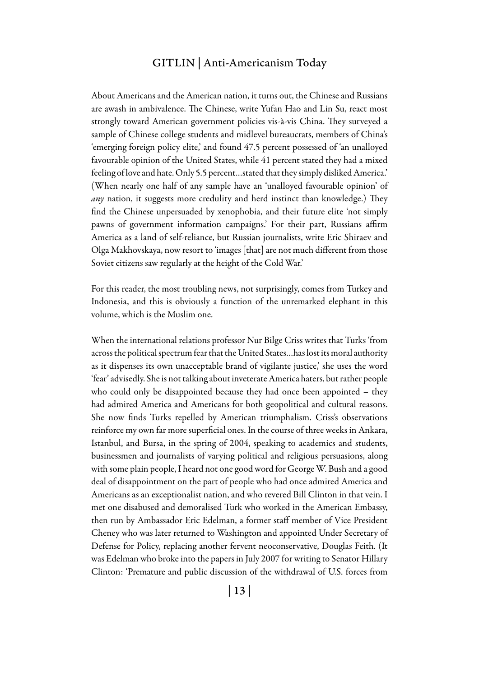#### GITLIN | Anti-Americanism Today

About Americans and the American nation, it turns out, the Chinese and Russians are awash in ambivalence. The Chinese, write Yufan Hao and Lin Su, react most strongly toward American government policies vis-à-vis China. They surveyed a sample of Chinese college students and midlevel bureaucrats, members of China's 'emerging foreign policy elite,' and found 47.5 percent possessed of 'an unalloyed favourable opinion of the United States, while 41 percent stated they had a mixed feeling of love and hate. Only 5.5 percent…stated that they simply disliked America.' (When nearly one half of any sample have an 'unalloyed favourable opinion' of *any* nation, it suggests more credulity and herd instinct than knowledge.) They find the Chinese unpersuaded by xenophobia, and their future elite 'not simply pawns of government information campaigns.' For their part, Russians affirm America as a land of self-reliance, but Russian journalists, write Eric Shiraev and Olga Makhovskaya, now resort to 'images [that] are not much different from those Soviet citizens saw regularly at the height of the Cold War.'

For this reader, the most troubling news, not surprisingly, comes from Turkey and Indonesia, and this is obviously a function of the unremarked elephant in this volume, which is the Muslim one.

When the international relations professor Nur Bilge Criss writes that Turks 'from across the political spectrum fear that the United States…has lost its moral authority as it dispenses its own unacceptable brand of vigilante justice,' she uses the word 'fear' advisedly. She is not talking about inveterate America haters, but rather people who could only be disappointed because they had once been appointed – they had admired America and Americans for both geopolitical and cultural reasons. She now finds Turks repelled by American triumphalism. Criss's observations reinforce my own far more superficial ones. In the course of three weeks in Ankara, Istanbul, and Bursa, in the spring of 2004, speaking to academics and students, businessmen and journalists of varying political and religious persuasions, along with some plain people, I heard not one good word for George W. Bush and a good deal of disappointment on the part of people who had once admired America and Americans as an exceptionalist nation, and who revered Bill Clinton in that vein. I met one disabused and demoralised Turk who worked in the American Embassy, then run by Ambassador Eric Edelman, a former staff member of Vice President Cheney who was later returned to Washington and appointed Under Secretary of Defense for Policy, replacing another fervent neoconservative, Douglas Feith. (It was Edelman who broke into the papers in July 2007 for writing to Senator Hillary Clinton: 'Premature and public discussion of the withdrawal of U.S. forces from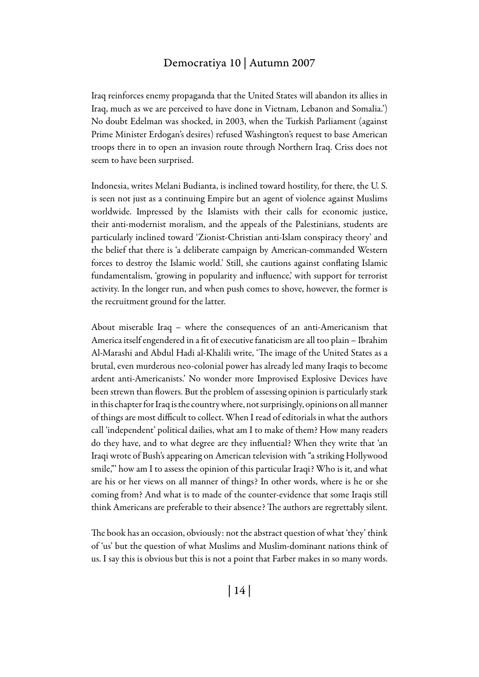# Democratiya 10 | Autumn 2007

Iraq reinforces enemy propaganda that the United States will abandon its allies in Iraq, much as we are perceived to have done in Vietnam, Lebanon and Somalia.') No doubt Edelman was shocked, in 2003, when the Turkish Parliament (against Prime Minister Erdogan's desires) refused Washington's request to base American troops there in to open an invasion route through Northern Iraq. Criss does not seem to have been surprised.

Indonesia, writes Melani Budianta, is inclined toward hostility, for there, the U. S. is seen not just as a continuing Empire but an agent of violence against Muslims worldwide. Impressed by the Islamists with their calls for economic justice, their anti-modernist moralism, and the appeals of the Palestinians, students are particularly inclined toward 'Zionist-Christian anti-Islam conspiracy theory' and the belief that there is 'a deliberate campaign by American-commanded Western forces to destroy the Islamic world.' Still, she cautions against conflating Islamic fundamentalism, 'growing in popularity and influence,' with support for terrorist activity. In the longer run, and when push comes to shove, however, the former is the recruitment ground for the latter.

About miserable Iraq – where the consequences of an anti-Americanism that America itself engendered in a fit of executive fanaticism are all too plain – Ibrahim Al-Marashi and Abdul Hadi al-Khalili write, 'The image of the United States as a brutal, even murderous neo-colonial power has already led many Iraqis to become ardent anti-Americanists.' No wonder more Improvised Explosive Devices have been strewn than flowers. But the problem of assessing opinion is particularly stark in this chapter for Iraq is the country where, not surprisingly, opinions on all manner of things are most difficult to collect. When I read of editorials in what the authors call 'independent' political dailies, what am I to make of them? How many readers do they have, and to what degree are they influential? When they write that 'an Iraqi wrote of Bush's appearing on American television with "a striking Hollywood smile,"' how am I to assess the opinion of this particular Iraqi? Who is it, and what are his or her views on all manner of things? In other words, where is he or she coming from? And what is to made of the counter-evidence that some Iraqis still think Americans are preferable to their absence? The authors are regrettably silent.

The book has an occasion, obviously: not the abstract question of what 'they' think of 'us' but the question of what Muslims and Muslim-dominant nations think of us. I say this is obvious but this is not a point that Farber makes in so many words.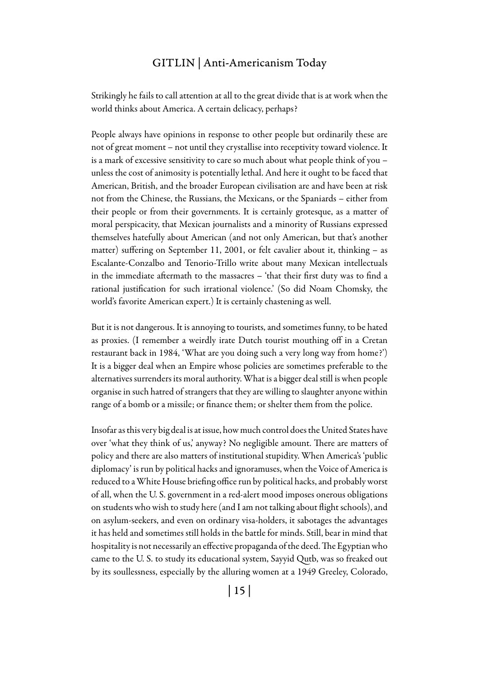# GITLIN | Anti-Americanism Today

Strikingly he fails to call attention at all to the great divide that is at work when the world thinks about America. A certain delicacy, perhaps?

People always have opinions in response to other people but ordinarily these are not of great moment – not until they crystallise into receptivity toward violence. It is a mark of excessive sensitivity to care so much about what people think of you – unless the cost of animosity is potentially lethal. And here it ought to be faced that American, British, and the broader European civilisation are and have been at risk not from the Chinese, the Russians, the Mexicans, or the Spaniards – either from their people or from their governments. It is certainly grotesque, as a matter of moral perspicacity, that Mexican journalists and a minority of Russians expressed themselves hatefully about American (and not only American, but that's another matter) suffering on September 11, 2001, or felt cavalier about it, thinking – as Escalante-Conzalbo and Tenorio-Trillo write about many Mexican intellectuals in the immediate aftermath to the massacres – 'that their first duty was to find a rational justification for such irrational violence.' (So did Noam Chomsky, the world's favorite American expert.) It is certainly chastening as well.

But it is not dangerous. It is annoying to tourists, and sometimes funny, to be hated as proxies. (I remember a weirdly irate Dutch tourist mouthing off in a Cretan restaurant back in 1984, 'What are you doing such a very long way from home?') It is a bigger deal when an Empire whose policies are sometimes preferable to the alternatives surrenders its moral authority. What is a bigger deal still is when people organise in such hatred of strangers that they are willing to slaughter anyone within range of a bomb or a missile; or finance them; or shelter them from the police.

Insofar as this very big deal is at issue, how much control does the United States have over 'what they think of us,' anyway? No negligible amount. There are matters of policy and there are also matters of institutional stupidity. When America's 'public diplomacy' is run by political hacks and ignoramuses, when the Voice of America is reduced to a White House briefing office run by political hacks, and probably worst of all, when the U. S. government in a red-alert mood imposes onerous obligations on students who wish to study here (and I am not talking about flight schools), and on asylum-seekers, and even on ordinary visa-holders, it sabotages the advantages it has held and sometimes still holds in the battle for minds. Still, bear in mind that hospitality is not necessarily an effective propaganda of the deed. The Egyptian who came to the U. S. to study its educational system, Sayyid Qutb, was so freaked out by its soullessness, especially by the alluring women at a 1949 Greeley, Colorado,